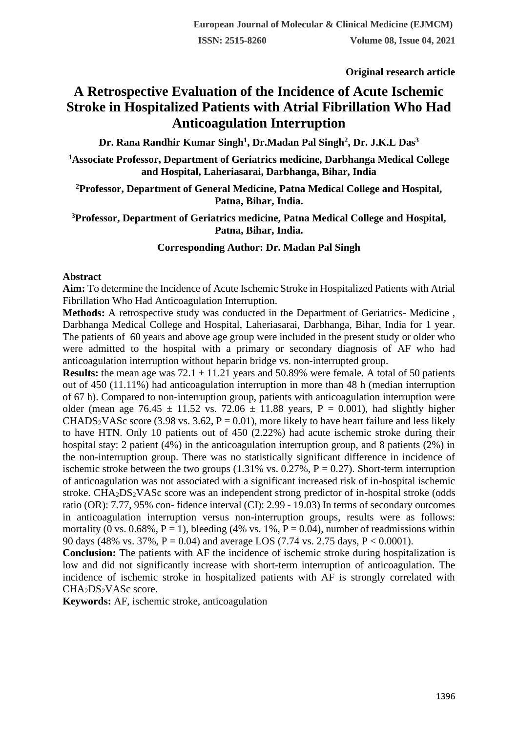**Original research article** 

# **A Retrospective Evaluation of the Incidence of Acute Ischemic Stroke in Hospitalized Patients with Atrial Fibrillation Who Had Anticoagulation Interruption**

**Dr. Rana Randhir Kumar Singh<sup>1</sup> , Dr.Madan Pal Singh<sup>2</sup> , Dr. J.K.L Das<sup>3</sup>**

**<sup>1</sup>Associate Professor, Department of Geriatrics medicine, Darbhanga Medical College and Hospital, Laheriasarai, Darbhanga, Bihar, India**

## **<sup>2</sup>Professor, Department of General Medicine, Patna Medical College and Hospital, Patna, Bihar, India.**

## **<sup>3</sup>Professor, Department of Geriatrics medicine, Patna Medical College and Hospital, Patna, Bihar, India.**

## **Corresponding Author: Dr. Madan Pal Singh**

#### **Abstract**

**Aim:** To determine the Incidence of Acute Ischemic Stroke in Hospitalized Patients with Atrial Fibrillation Who Had Anticoagulation Interruption.

**Methods:** A retrospective study was conducted in the Department of Geriatrics- Medicine , Darbhanga Medical College and Hospital, Laheriasarai, Darbhanga, Bihar, India for 1 year. The patients of 60 years and above age group were included in the present study or older who were admitted to the hospital with a primary or secondary diagnosis of AF who had anticoagulation interruption without heparin bridge vs. non-interrupted group.

**Results:** the mean age was  $72.1 \pm 11.21$  years and  $50.89\%$  were female. A total of 50 patients out of 450 (11.11%) had anticoagulation interruption in more than 48 h (median interruption of 67 h). Compared to non-interruption group, patients with anticoagulation interruption were older (mean age 76.45  $\pm$  11.52 vs. 72.06  $\pm$  11.88 years, P = 0.001), had slightly higher CHADS<sub>2</sub>VASc score (3.98 vs. 3.62,  $P = 0.01$ ), more likely to have heart failure and less likely to have HTN. Only 10 patients out of 450 (2.22%) had acute ischemic stroke during their hospital stay: 2 patient (4%) in the anticoagulation interruption group, and 8 patients (2%) in the non-interruption group. There was no statistically significant difference in incidence of ischemic stroke between the two groups  $(1.31\% \text{ vs. } 0.27\%, P = 0.27)$ . Short-term interruption of anticoagulation was not associated with a significant increased risk of in-hospital ischemic stroke. CHA<sub>2</sub>DS<sub>2</sub>VASc score was an independent strong predictor of in-hospital stroke (odds) ratio (OR): 7.77, 95% con- fidence interval (CI): 2.99 - 19.03) In terms of secondary outcomes in anticoagulation interruption versus non-interruption groups, results were as follows: mortality (0 vs. 0.68%, P = 1), bleeding (4% vs. 1%, P = 0.04), number of readmissions within 90 days (48% vs. 37%,  $P = 0.04$ ) and average LOS (7.74 vs. 2.75 days,  $P < 0.0001$ ).

**Conclusion:** The patients with AF the incidence of ischemic stroke during hospitalization is low and did not significantly increase with short-term interruption of anticoagulation. The incidence of ischemic stroke in hospitalized patients with AF is strongly correlated with  $CHA<sub>2</sub>DS<sub>2</sub>VASc score.$ 

**Keywords:** AF, ischemic stroke, anticoagulation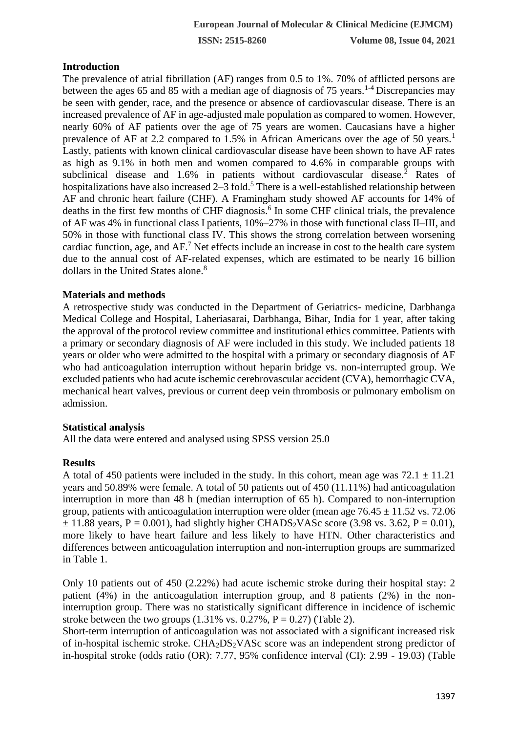# **Introduction**

The prevalence of atrial fibrillation (AF) ranges from 0.5 to 1%. 70% of afflicted persons are between the ages 65 and 85 with a median age of diagnosis of 75 years.<sup>1-4</sup> Discrepancies may be seen with gender, race, and the presence or absence of cardiovascular disease. There is an increased prevalence of AF in age-adjusted male population as compared to women. However, nearly 60% of AF patients over the age of 75 years are women. Caucasians have a higher prevalence of AF at 2.2 compared to 1.5% in African Americans over the age of 50 years.<sup>1</sup> Lastly, patients with known clinical cardiovascular disease have been shown to have AF rates as high as 9.1% in both men and women compared to 4.6% in comparable groups with subclinical disease and 1.6% in patients without cardiovascular disease.<sup>2</sup> Rates of hospitalizations have also increased  $2-3$  fold.<sup>5</sup> There is a well-established relationship between AF and chronic heart failure (CHF). A Framingham study showed AF accounts for 14% of deaths in the first few months of CHF diagnosis.<sup>6</sup> In some CHF clinical trials, the prevalence of AF was 4% in functional class I patients, 10%–27% in those with functional class II–III, and 50% in those with functional class IV. This shows the strong correlation between worsening cardiac function, age, and  $AF<sup>7</sup>$  Net effects include an increase in cost to the health care system due to the annual cost of AF-related expenses, which are estimated to be nearly 16 billion dollars in the United States alone.<sup>8</sup>

# **Materials and methods**

A retrospective study was conducted in the Department of Geriatrics- medicine, Darbhanga Medical College and Hospital, Laheriasarai, Darbhanga, Bihar, India for 1 year, after taking the approval of the protocol review committee and institutional ethics committee. Patients with a primary or secondary diagnosis of AF were included in this study. We included patients 18 years or older who were admitted to the hospital with a primary or secondary diagnosis of AF who had anticoagulation interruption without heparin bridge vs. non-interrupted group. We excluded patients who had acute ischemic cerebrovascular accident (CVA), hemorrhagic CVA, mechanical heart valves, previous or current deep vein thrombosis or pulmonary embolism on admission.

#### **Statistical analysis**

All the data were entered and analysed using SPSS version 25.0

# **Results**

A total of 450 patients were included in the study. In this cohort, mean age was  $72.1 \pm 11.21$ years and 50.89% were female. A total of 50 patients out of 450 (11.11%) had anticoagulation interruption in more than 48 h (median interruption of 65 h). Compared to non-interruption group, patients with anticoagulation interruption were older (mean age  $76.45 \pm 11.52$  vs. 72.06  $\pm$  11.88 years, P = 0.001), had slightly higher CHADS<sub>2</sub>VASc score (3.98 vs. 3.62, P = 0.01), more likely to have heart failure and less likely to have HTN. Other characteristics and differences between anticoagulation interruption and non-interruption groups are summarized in Table 1.

Only 10 patients out of 450 (2.22%) had acute ischemic stroke during their hospital stay: 2 patient (4%) in the anticoagulation interruption group, and 8 patients (2%) in the noninterruption group. There was no statistically significant difference in incidence of ischemic stroke between the two groups  $(1.31\% \text{ vs. } 0.27\%, P = 0.27)$  (Table 2).

Short-term interruption of anticoagulation was not associated with a significant increased risk of in-hospital ischemic stroke. CHA2DS2VASc score was an independent strong predictor of in-hospital stroke (odds ratio (OR): 7.77, 95% confidence interval (CI): 2.99 - 19.03) (Table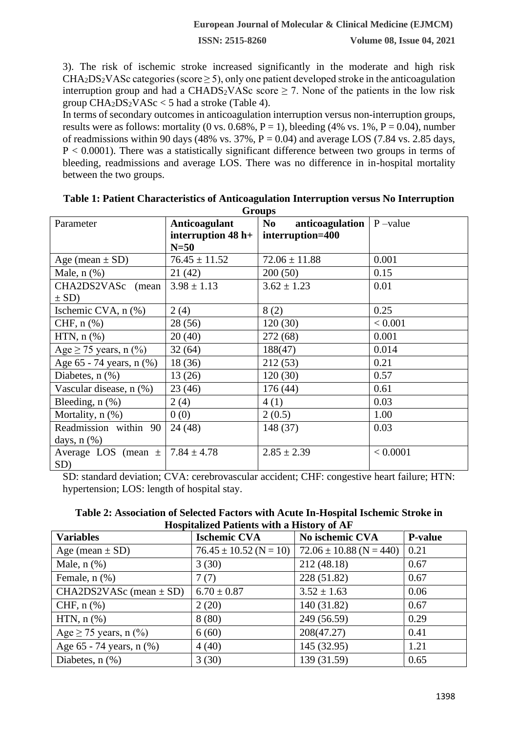**ISSN: 2515-8260 Volume 08, Issue 04, 2021**

3). The risk of ischemic stroke increased significantly in the moderate and high risk  $CHA<sub>2</sub>DS<sub>2</sub>VASc categories (score  $\geq 5$ ), only one patient developed stroke in the anticoagulation$ interruption group and had a CHADS<sub>2</sub>VASc score  $\geq$  7. None of the patients in the low risk group  $CHA_2DS_2VASc < 5$  had a stroke (Table 4).

In terms of secondary outcomes in anticoagulation interruption versus non-interruption groups, results were as follows: mortality (0 vs.  $0.68\%$ , P = 1), bleeding (4% vs. 1%, P = 0.04), number of readmissions within 90 days (48% vs. 37%,  $P = 0.04$ ) and average LOS (7.84 vs. 2.85 days,  $P < 0.0001$ ). There was a statistically significant difference between two groups in terms of bleeding, readmissions and average LOS. There was no difference in in-hospital mortality between the two groups.

| Parameter                               | Anticoagulant        | <b>Oroup</b> o<br>No anticoagulation | $P$ -value |
|-----------------------------------------|----------------------|--------------------------------------|------------|
|                                         | interruption $48$ h+ | interruption=400                     |            |
|                                         | $N=50$               |                                      |            |
| Age (mean $\pm$ SD)                     | $76.45 \pm 11.52$    | $72.06 \pm 11.88$                    | 0.001      |
| Male, $n$ $(\%)$                        | 21(42)               | 200(50)                              | 0.15       |
| CHA2DS2VASc (mean)                      | $3.98 \pm 1.13$      | $3.62 \pm 1.23$                      | 0.01       |
| $\pm$ SD)                               |                      |                                      |            |
| Ischemic CVA, n (%)                     | 2(4)                 | 8(2)                                 | 0.25       |
| CHF, $n$ $%$                            | 28(56)               | 120(30)                              | < 0.001    |
| $HTN, n$ $%$                            | 20(40)               | 272 (68)                             | 0.001      |
| Age $\geq$ 75 years, n (%)              | 32(64)               | 188(47)                              | 0.014      |
| Age 65 - 74 years, n (%)                | 18(36)               | 212(53)                              | 0.21       |
| Diabetes, $n$ $(\%)$                    | 13(26)               | 120(30)                              | 0.57       |
| Vascular disease, n (%)                 | 23(46)               | 176(44)                              | 0.61       |
| Bleeding, $n$ $(\%)$                    | 2(4)                 | 4(1)                                 | 0.03       |
| Mortality, n (%)                        | 0(0)                 | 2(0.5)                               | 1.00       |
| Readmission within 90                   | 24(48)               | 148 (37)                             | 0.03       |
| days, $n$ $(\%)$                        |                      |                                      |            |
| Average LOS (mean $\pm$ 7.84 $\pm$ 4.78 |                      | $2.85 \pm 2.39$                      | < 0.0001   |
| SD)                                     |                      |                                      |            |

| Table 1: Patient Characteristics of Anticoagulation Interruption versus No Interruption |
|-----------------------------------------------------------------------------------------|
| Groups                                                                                  |

SD: standard deviation; CVA: cerebrovascular accident; CHF: congestive heart failure; HTN: hypertension; LOS: length of hospital stay.

| Table 2: Association of Selected Factors with Acute In-Hospital Ischemic Stroke in |
|------------------------------------------------------------------------------------|
| <b>Hospitalized Patients with a History of AF</b>                                  |

| <b>Variables</b>            | <b>Ischemic CVA</b>        | No ischemic CVA             | <b>P-value</b> |
|-----------------------------|----------------------------|-----------------------------|----------------|
| Age (mean $\pm$ SD)         | $76.45 \pm 10.52$ (N = 10) | $72.06 \pm 10.88$ (N = 440) | 0.21           |
| Male, $n$ $(\%)$            | 3(30)                      | 212(48.18)                  | 0.67           |
| Female, $n$ $(\%)$          | 7(7)                       | 228 (51.82)                 | 0.67           |
| CHA2DS2VASc (mean $\pm$ SD) | $6.70 \pm 0.87$            | $3.52 \pm 1.63$             | 0.06           |
| CHF, $n$ $%$                | 2(20)                      | 140 (31.82)                 | 0.67           |
| HTN, $n$ $(\%)$             | 8(80)                      | 249 (56.59)                 | 0.29           |
| Age $\geq$ 75 years, n (%)  | 6(60)                      | 208(47.27)                  | 0.41           |
| Age 65 - 74 years, n (%)    | 4(40)                      | 145 (32.95)                 | 1.21           |
| Diabetes, $n$ $(\%)$        | 3(30)                      | 139 (31.59)                 | 0.65           |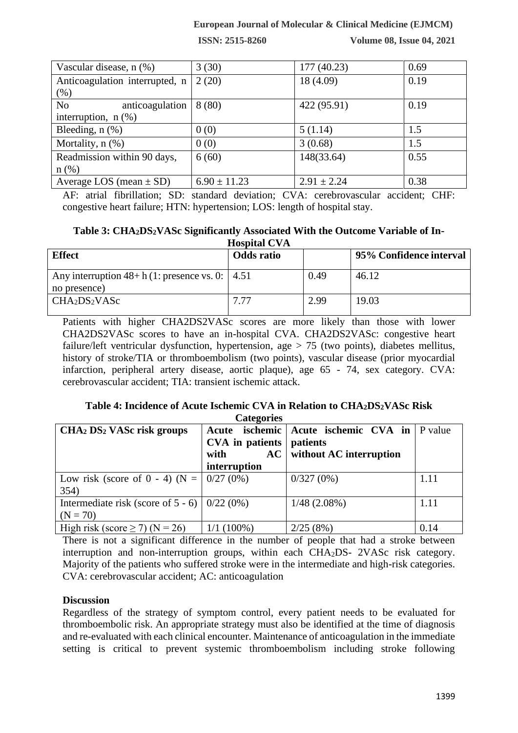## **European Journal of Molecular & Clinical Medicine (EJMCM)**

**ISSN: 2515-8260 Volume 08, Issue 04, 2021**

| Vascular disease, n (%)           | 3(30)            | 177 (40.23)     | 0.69 |
|-----------------------------------|------------------|-----------------|------|
| Anticoagulation interrupted, n    | 2(20)            | 18 (4.09)       | 0.19 |
| $(\%)$                            |                  |                 |      |
| anticoagulation<br>N <sub>o</sub> | 8(80)            | 422 (95.91)     | 0.19 |
| interruption, $n$ $(\%)$          |                  |                 |      |
| Bleeding, $n$ $(\%)$              | 0(0)             | 5(1.14)         | 1.5  |
| Mortality, $n$ $(\%)$             | 0(0)             | 3(0.68)         | 1.5  |
| Readmission within 90 days,       | 6(60)            | 148(33.64)      | 0.55 |
| $n$ (%)                           |                  |                 |      |
| Average LOS (mean $\pm$ SD)       | $6.90 \pm 11.23$ | $2.91 \pm 2.24$ | 0.38 |

AF: atrial fibrillation; SD: standard deviation; CVA: cerebrovascular accident; CHF: congestive heart failure; HTN: hypertension; LOS: length of hospital stay.

| Table 3: CHA <sub>2</sub> DS <sub>2</sub> VASc Significantly Associated With the Outcome Variable of In- |  |
|----------------------------------------------------------------------------------------------------------|--|
| <b>Hospital CVA</b>                                                                                      |  |

| <b>Effect</b>                                                         | <b>Odds ratio</b> |      | 95% Confidence interval |
|-----------------------------------------------------------------------|-------------------|------|-------------------------|
| Any interruption $48 + h(1)$ : presence vs. 0:   4.51<br>no presence) |                   | 0.49 | 46.12                   |
| CHA <sub>2</sub> DS <sub>2</sub> VASc                                 | 7.77              | 2.99 | 19.03                   |

Patients with higher CHA2DS2VASc scores are more likely than those with lower CHA2DS2VASc scores to have an in-hospital CVA. CHA2DS2VASc: congestive heart failure/left ventricular dysfunction, hypertension, age > 75 (two points), diabetes mellitus, history of stroke/TIA or thromboembolism (two points), vascular disease (prior myocardial infarction, peripheral artery disease, aortic plaque), age 65 - 74, sex category. CVA: cerebrovascular accident; TIA: transient ischemic attack.

#### **Table 4: Incidence of Acute Ischemic CVA in Relation to CHA2DS2VASc Risk Categories**

| ----- <u>-</u> -----                              |                                 |                                      |         |  |
|---------------------------------------------------|---------------------------------|--------------------------------------|---------|--|
| CHA2 DS2 VASc risk groups                         |                                 | Acute ischemic Acute ischemic CVA in | P value |  |
|                                                   | <b>CVA</b> in patients patients |                                      |         |  |
|                                                   | with                            | $AC$   without AC interruption       |         |  |
|                                                   | interruption                    |                                      |         |  |
| Low risk (score of 0 - 4) (N = $ 0/27(0\%)$       |                                 | $0/327(0\%)$                         | 1.11    |  |
| 354)                                              |                                 |                                      |         |  |
| Intermediate risk (score of $5 - 6$ )   0/22 (0%) |                                 | $1/48$ (2.08%)                       | 1.11    |  |
| $(N = 70)$                                        |                                 |                                      |         |  |
| High risk (score $\geq$ 7) (N = 26)               | $1/1(100\%)$                    | 2/25(8%)                             | 0.14    |  |

There is not a significant difference in the number of people that had a stroke between interruption and non-interruption groups, within each CHA2DS- 2VASc risk category. Majority of the patients who suffered stroke were in the intermediate and high-risk categories. CVA: cerebrovascular accident; AC: anticoagulation

# **Discussion**

Regardless of the strategy of symptom control, every patient needs to be evaluated for thromboembolic risk. An appropriate strategy must also be identified at the time of diagnosis and re-evaluated with each clinical encounter. Maintenance of anticoagulation in the immediate setting is critical to prevent systemic thromboembolism including stroke following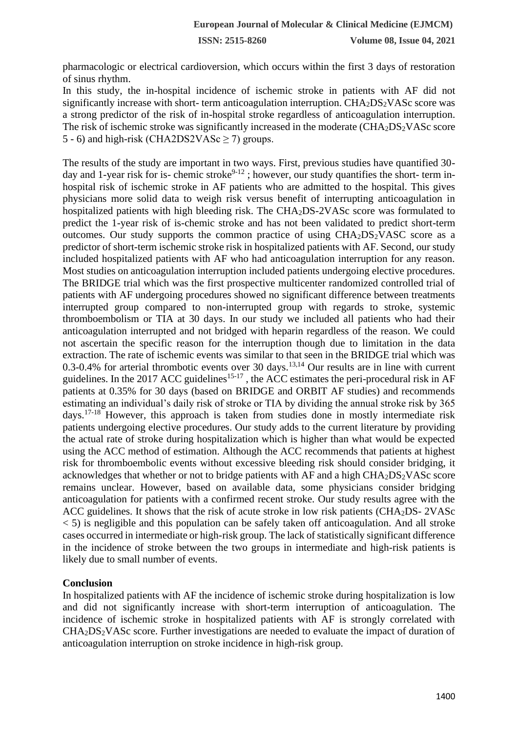**ISSN: 2515-8260 Volume 08, Issue 04, 2021**

pharmacologic or electrical cardioversion, which occurs within the first 3 days of restoration of sinus rhythm.

In this study, the in-hospital incidence of ischemic stroke in patients with AF did not significantly increase with short- term anticoagulation interruption.  $CHA<sub>2</sub>DS<sub>2</sub>VASc$  score was a strong predictor of the risk of in-hospital stroke regardless of anticoagulation interruption. The risk of ischemic stroke was significantly increased in the moderate  $(CHA<sub>2</sub>DS<sub>2</sub>VASc$  score 5 - 6) and high-risk (CHA2DS2VASc  $\geq$  7) groups.

The results of the study are important in two ways. First, previous studies have quantified 30 day and 1-year risk for is- chemic stroke<sup>9-12</sup>; however, our study quantifies the short- term inhospital risk of ischemic stroke in AF patients who are admitted to the hospital. This gives physicians more solid data to weigh risk versus benefit of interrupting anticoagulation in hospitalized patients with high bleeding risk. The CHA2DS-2VASc score was formulated to predict the 1-year risk of is-chemic stroke and has not been validated to predict short-term outcomes. Our study supports the common practice of using  $CHA<sub>2</sub>DS<sub>2</sub>VASC$  score as a predictor of short-term ischemic stroke risk in hospitalized patients with AF. Second, our study included hospitalized patients with AF who had anticoagulation interruption for any reason. Most studies on anticoagulation interruption included patients undergoing elective procedures. The BRIDGE trial which was the first prospective multicenter randomized controlled trial of patients with AF undergoing procedures showed no significant difference between treatments interrupted group compared to non-interrupted group with regards to stroke, systemic thromboembolism or TIA at 30 days. In our study we included all patients who had their anticoagulation interrupted and not bridged with heparin regardless of the reason. We could not ascertain the specific reason for the interruption though due to limitation in the data extraction. The rate of ischemic events was similar to that seen in the BRIDGE trial which was 0.3-0.4% for arterial thrombotic events over 30 days.<sup>13,14</sup> Our results are in line with current guidelines. In the 2017 ACC guidelines<sup>15-17</sup>, the ACC estimates the peri-procedural risk in AF patients at 0.35% for 30 days (based on BRIDGE and ORBIT AF studies) and recommends estimating an individual's daily risk of stroke or TIA by dividing the annual stroke risk by 365  $d$ ays.<sup>17-18</sup> However, this approach is taken from studies done in mostly intermediate risk patients undergoing elective procedures. Our study adds to the current literature by providing the actual rate of stroke during hospitalization which is higher than what would be expected using the ACC method of estimation. Although the ACC recommends that patients at highest risk for thromboembolic events without excessive bleeding risk should consider bridging, it acknowledges that whether or not to bridge patients with AF and a high  $CHA_2DS_2VASc$  score remains unclear. However, based on available data, some physicians consider bridging anticoagulation for patients with a confirmed recent stroke. Our study results agree with the ACC guidelines. It shows that the risk of acute stroke in low risk patients (CHA<sub>2</sub>DS- 2VASc)  $\langle$  5) is negligible and this population can be safely taken off anticoagulation. And all stroke cases occurred in intermediate or high-risk group. The lack of statistically significant difference in the incidence of stroke between the two groups in intermediate and high-risk patients is likely due to small number of events.

#### **Conclusion**

In hospitalized patients with AF the incidence of ischemic stroke during hospitalization is low and did not significantly increase with short-term interruption of anticoagulation. The incidence of ischemic stroke in hospitalized patients with AF is strongly correlated with CHA2DS2VASc score. Further investigations are needed to evaluate the impact of duration of anticoagulation interruption on stroke incidence in high-risk group.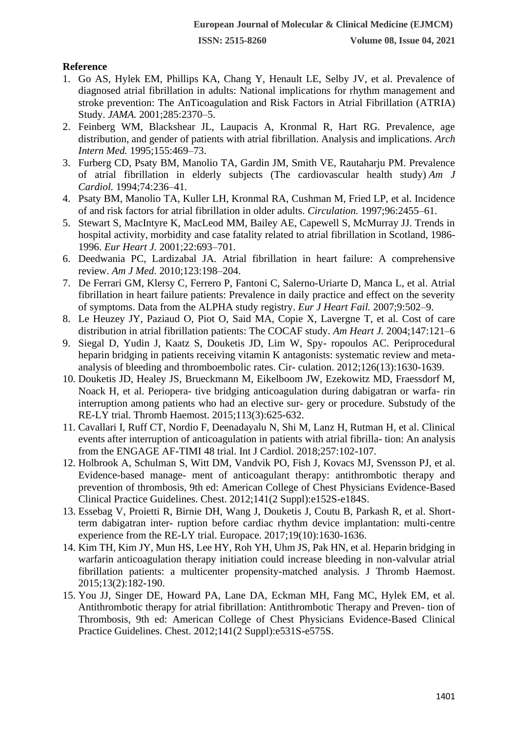## **Reference**

- 1. Go AS, Hylek EM, Phillips KA, Chang Y, Henault LE, Selby JV, et al. Prevalence of diagnosed atrial fibrillation in adults: National implications for rhythm management and stroke prevention: The AnTicoagulation and Risk Factors in Atrial Fibrillation (ATRIA) Study. *JAMA.* 2001;285:2370–5.
- 2. Feinberg WM, Blackshear JL, Laupacis A, Kronmal R, Hart RG. Prevalence, age distribution, and gender of patients with atrial fibrillation. Analysis and implications. *Arch Intern Med.* 1995;155:469–73.
- 3. Furberg CD, Psaty BM, Manolio TA, Gardin JM, Smith VE, Rautaharju PM. Prevalence of atrial fibrillation in elderly subjects (The cardiovascular health study) *Am J Cardiol.* 1994;74:236–41.
- 4. Psaty BM, Manolio TA, Kuller LH, Kronmal RA, Cushman M, Fried LP, et al. Incidence of and risk factors for atrial fibrillation in older adults. *Circulation.* 1997;96:2455–61.
- 5. Stewart S, MacIntyre K, MacLeod MM, Bailey AE, Capewell S, McMurray JJ. Trends in hospital activity, morbidity and case fatality related to atrial fibrillation in Scotland, 1986- 1996. *Eur Heart J.* 2001;22:693–701.
- 6. Deedwania PC, Lardizabal JA. Atrial fibrillation in heart failure: A comprehensive review. *Am J Med.* 2010;123:198–204.
- 7. De Ferrari GM, Klersy C, Ferrero P, Fantoni C, Salerno-Uriarte D, Manca L, et al. Atrial fibrillation in heart failure patients: Prevalence in daily practice and effect on the severity of symptoms. Data from the ALPHA study registry. *Eur J Heart Fail.* 2007;9:502–9.
- 8. Le Heuzey JY, Paziaud O, Piot O, Said MA, Copie X, Lavergne T, et al. Cost of care distribution in atrial fibrillation patients: The COCAF study. *Am Heart J.* 2004;147:121–6
- 9. Siegal D, Yudin J, Kaatz S, Douketis JD, Lim W, Spy- ropoulos AC. Periprocedural heparin bridging in patients receiving vitamin K antagonists: systematic review and metaanalysis of bleeding and thromboembolic rates. Cir- culation. 2012;126(13):1630-1639.
- 10. Douketis JD, Healey JS, Brueckmann M, Eikelboom JW, Ezekowitz MD, Fraessdorf M, Noack H, et al. Periopera- tive bridging anticoagulation during dabigatran or warfa- rin interruption among patients who had an elective sur- gery or procedure. Substudy of the RE-LY trial. Thromb Haemost. 2015;113(3):625-632.
- 11. Cavallari I, Ruff CT, Nordio F, Deenadayalu N, Shi M, Lanz H, Rutman H, et al. Clinical events after interruption of anticoagulation in patients with atrial fibrilla- tion: An analysis from the ENGAGE AF-TIMI 48 trial. Int J Cardiol. 2018;257:102-107.
- 12. Holbrook A, Schulman S, Witt DM, Vandvik PO, Fish J, Kovacs MJ, Svensson PJ, et al. Evidence-based manage- ment of anticoagulant therapy: antithrombotic therapy and prevention of thrombosis, 9th ed: American College of Chest Physicians Evidence-Based Clinical Practice Guidelines. Chest. 2012;141(2 Suppl):e152S-e184S.
- 13. Essebag V, Proietti R, Birnie DH, Wang J, Douketis J, Coutu B, Parkash R, et al. Shortterm dabigatran inter- ruption before cardiac rhythm device implantation: multi-centre experience from the RE-LY trial. Europace. 2017;19(10):1630-1636.
- 14. Kim TH, Kim JY, Mun HS, Lee HY, Roh YH, Uhm JS, Pak HN, et al. Heparin bridging in warfarin anticoagulation therapy initiation could increase bleeding in non-valvular atrial fibrillation patients: a multicenter propensity-matched analysis. J Thromb Haemost. 2015;13(2):182-190.
- 15. You JJ, Singer DE, Howard PA, Lane DA, Eckman MH, Fang MC, Hylek EM, et al. Antithrombotic therapy for atrial fibrillation: Antithrombotic Therapy and Preven- tion of Thrombosis, 9th ed: American College of Chest Physicians Evidence-Based Clinical Practice Guidelines. Chest. 2012;141(2 Suppl):e531S-e575S.